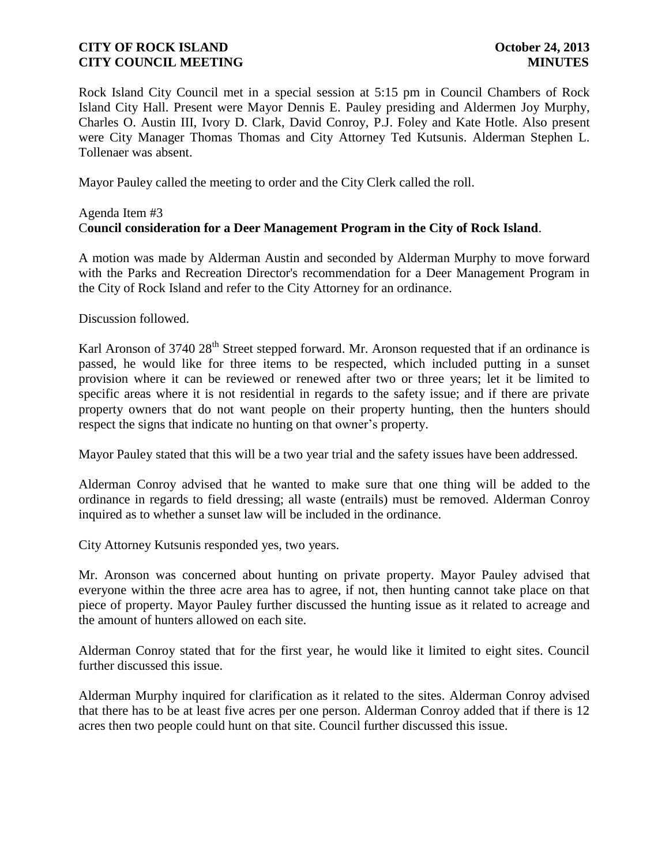## **CITY OF ROCK ISLAND October 24, 2013 CITY COUNCIL MEETING MINUTES**

Rock Island City Council met in a special session at 5:15 pm in Council Chambers of Rock Island City Hall. Present were Mayor Dennis E. Pauley presiding and Aldermen Joy Murphy, Charles O. Austin III, Ivory D. Clark, David Conroy, P.J. Foley and Kate Hotle. Also present were City Manager Thomas Thomas and City Attorney Ted Kutsunis. Alderman Stephen L. Tollenaer was absent.

Mayor Pauley called the meeting to order and the City Clerk called the roll.

## Agenda Item #3 C**ouncil consideration for a Deer Management Program in the City of Rock Island**.

A motion was made by Alderman Austin and seconded by Alderman Murphy to move forward with the Parks and Recreation Director's recommendation for a Deer Management Program in the City of Rock Island and refer to the City Attorney for an ordinance.

Discussion followed.

Karl Aronson of 3740 28<sup>th</sup> Street stepped forward. Mr. Aronson requested that if an ordinance is passed, he would like for three items to be respected, which included putting in a sunset provision where it can be reviewed or renewed after two or three years; let it be limited to specific areas where it is not residential in regards to the safety issue; and if there are private property owners that do not want people on their property hunting, then the hunters should respect the signs that indicate no hunting on that owner's property.

Mayor Pauley stated that this will be a two year trial and the safety issues have been addressed.

Alderman Conroy advised that he wanted to make sure that one thing will be added to the ordinance in regards to field dressing; all waste (entrails) must be removed. Alderman Conroy inquired as to whether a sunset law will be included in the ordinance.

City Attorney Kutsunis responded yes, two years.

Mr. Aronson was concerned about hunting on private property. Mayor Pauley advised that everyone within the three acre area has to agree, if not, then hunting cannot take place on that piece of property. Mayor Pauley further discussed the hunting issue as it related to acreage and the amount of hunters allowed on each site.

Alderman Conroy stated that for the first year, he would like it limited to eight sites. Council further discussed this issue.

Alderman Murphy inquired for clarification as it related to the sites. Alderman Conroy advised that there has to be at least five acres per one person. Alderman Conroy added that if there is 12 acres then two people could hunt on that site. Council further discussed this issue.